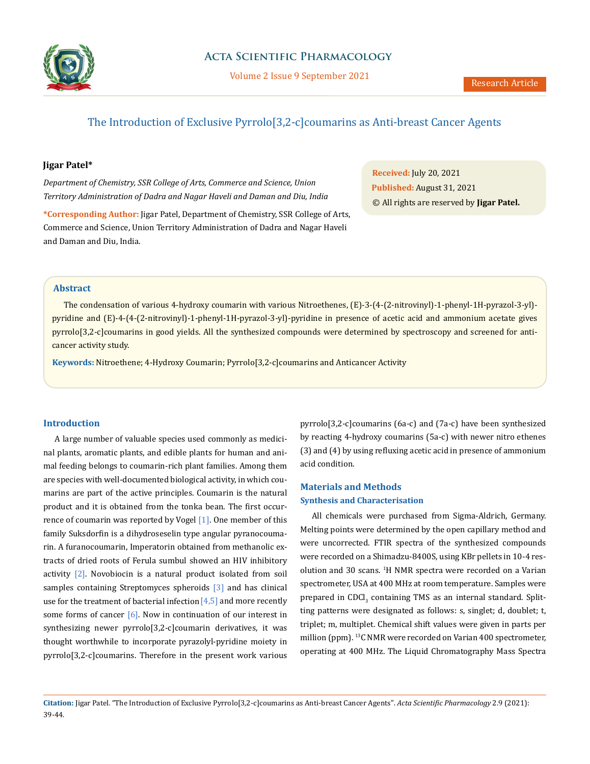

## **Acta Scientific Pharmacology**

Volume 2 Issue 9 September 2021

# The Introduction of Exclusive Pyrrolo[3,2-c]coumarins as Anti-breast Cancer Agents

### **Jigar Patel\***

*Department of Chemistry, SSR College of Arts, Commerce and Science, Union Territory Administration of Dadra and Nagar Haveli and Daman and Diu, India*

**\*Corresponding Author:** Jigar Patel, Department of Chemistry, SSR College of Arts, Commerce and Science, Union Territory Administration of Dadra and Nagar Haveli and Daman and Diu, India.

**Received:** July 20, 2021 **Published:** August 31, 2021 © All rights are reserved by **Jigar Patel.**

### **Abstract**

The condensation of various 4-hydroxy coumarin with various Nitroethenes, (E)-3-(4-(2-nitrovinyl)-1-phenyl-1H-pyrazol-3-yl) pyridine and (E)-4-(4-(2-nitrovinyl)-1-phenyl-1H-pyrazol-3-yl)-pyridine in presence of acetic acid and ammonium acetate gives pyrrolo[3,2-c]coumarins in good yields. All the synthesized compounds were determined by spectroscopy and screened for anticancer activity study.

**Keywords:** Nitroethene; 4-Hydroxy Coumarin; Pyrrolo[3,2-c]coumarins and Anticancer Activity

### **Introduction**

A large number of valuable species used commonly as medicinal plants, aromatic plants, and edible plants for human and animal feeding belongs to coumarin-rich plant families. Among them are species with well-documented biological activity, in which coumarins are part of the active principles. Coumarin is the natural product and it is obtained from the tonka bean. The first occurrence of coumarin was reported by Vogel [1]. One member of this family Suksdorfin is a dihydroseselin type angular pyranocoumarin. A furanocoumarin, Imperatorin obtained from methanolic extracts of dried roots of Ferula sumbul showed an HIV inhibitory activity  $[2]$ . Novobiocin is a natural product isolated from soil samples containing Streptomyces spheroids [3] and has clinical use for the treatment of bacterial infection  $[4,5]$  and more recently some forms of cancer  $[6]$ . Now in continuation of our interest in synthesizing newer pyrrolo[3,2-c]coumarin derivatives, it was thought worthwhile to incorporate pyrazolyl-pyridine moiety in pyrrolo[3,2-c]coumarins. Therefore in the present work various pyrrolo[3,2-c]coumarins (6a-c) and (7a-c) have been synthesized by reacting 4-hydroxy coumarins (5a-c) with newer nitro ethenes (3) and (4) by using refluxing acetic acid in presence of ammonium acid condition.

## **Materials and Methods Synthesis and Characterisation**

All chemicals were purchased from Sigma-Aldrich, Germany. Melting points were determined by the open capillary method and were uncorrected. FTIR spectra of the synthesized compounds were recorded on a Shimadzu-8400S, using KBr pellets in 10-4 resolution and 30 scans. <sup>1</sup> H NMR spectra were recorded on a Varian spectrometer, USA at 400 MHz at room temperature. Samples were prepared in CDCl<sub>3</sub> containing TMS as an internal standard. Splitting patterns were designated as follows: s, singlet; d, doublet; t, triplet; m, multiplet. Chemical shift values were given in parts per million (ppm). 13C NMR were recorded on Varian 400 spectrometer, operating at 400 MHz. The Liquid Chromatography Mass Spectra

**Citation:** Jigar Patel*.* "The Introduction of Exclusive Pyrrolo[3,2-c]coumarins as Anti-breast Cancer Agents". *Acta Scientific Pharmacology* 2.9 (2021): 39-44.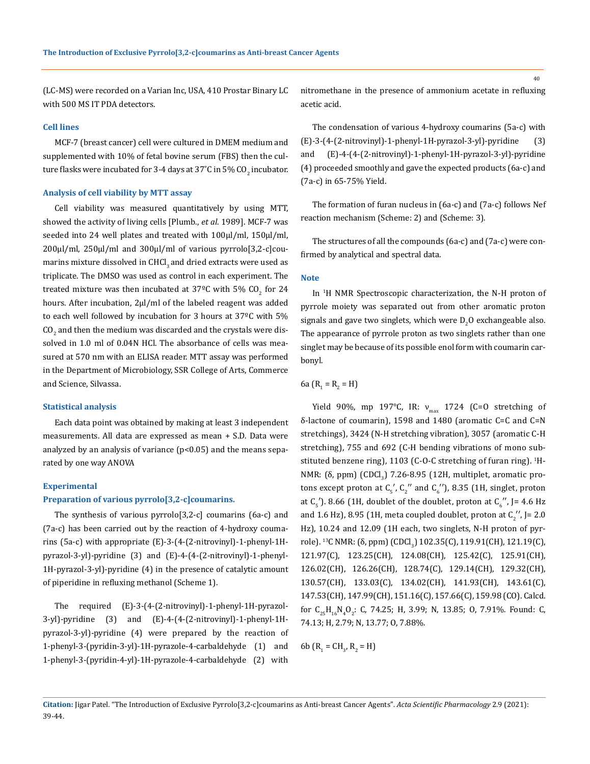(LC-MS) were recorded on a Varian Inc, USA, 410 Prostar Binary LC with 500 MS IT PDA detectors.

### **Cell lines**

MCF-7 (breast cancer) cell were cultured in DMEM medium and supplemented with 10% of fetal bovine serum (FBS) then the culture flasks were incubated for 3-4 days at 37°C in 5% CO $_2$  incubator.

#### **Analysis of cell viability by MTT assay**

Cell viability was measured quantitatively by using MTT, showed the activity of living cells [Plumb., *et al*. 1989]. MCF-7 was seeded into 24 well plates and treated with 100µl/ml, 150µl/ml, 200µl/ml, 250µl/ml and 300µl/ml of various pyrrolo[3,2-c]coumarins mixture dissolved in CHCl<sub>3</sub> and dried extracts were used as triplicate. The DMSO was used as control in each experiment. The treated mixture was then incubated at  $37^{\circ}$ C with 5% CO<sub>2</sub> for 24 hours. After incubation, 2µl/ml of the labeled reagent was added to each well followed by incubation for 3 hours at 37ºC with 5%  ${\rm CO}_2$  and then the medium was discarded and the crystals were dissolved in 1.0 ml of 0.04N HCl. The absorbance of cells was measured at 570 nm with an ELISA reader. MTT assay was performed in the Department of Microbiology, SSR College of Arts, Commerce and Science, Silvassa.

#### **Statistical analysis**

Each data point was obtained by making at least 3 independent measurements. All data are expressed as mean + S.D. Data were analyzed by an analysis of variance (p<0.05) and the means separated by one way ANOVA

#### **Experimental**

### **Preparation of various pyrrolo[3,2-c]coumarins.**

The synthesis of various pyrrolo[3,2-c] coumarins (6a-c) and (7a-c) has been carried out by the reaction of 4-hydroxy coumarins (5a-c) with appropriate (E)-3-(4-(2-nitrovinyl)-1-phenyl-1Hpyrazol-3-yl)-pyridine (3) and (E)-4-(4-(2-nitrovinyl)-1-phenyl-1H-pyrazol-3-yl)-pyridine (4) in the presence of catalytic amount of piperidine in refluxing methanol (Scheme 1).

The required (E)-3-(4-(2-nitrovinyl)-1-phenyl-1H-pyrazol-3-yl)-pyridine (3) and (E)-4-(4-(2-nitrovinyl)-1-phenyl-1Hpyrazol-3-yl)-pyridine (4) were prepared by the reaction of 1-phenyl-3-(pyridin-3-yl)-1H-pyrazole-4-carbaldehyde (1) and 1-phenyl-3-(pyridin-4-yl)-1H-pyrazole-4-carbaldehyde (2) with nitromethane in the presence of ammonium acetate in refluxing acetic acid.

The condensation of various 4-hydroxy coumarins (5a-c) with (E)-3-(4-(2-nitrovinyl)-1-phenyl-1H-pyrazol-3-yl)-pyridine (3) and (E)-4-(4-(2-nitrovinyl)-1-phenyl-1H-pyrazol-3-yl)-pyridine (4) proceeded smoothly and gave the expected products (6a-c) and (7a-c) in 65-75% Yield.

The formation of furan nucleus in (6a-c) and (7a-c) follows Nef reaction mechanism (Scheme: 2) and (Scheme: 3).

The structures of all the compounds (6a-c) and (7a-c) were confirmed by analytical and spectral data.

#### **Note**

In <sup>1</sup> H NMR Spectroscopic characterization, the N-H proton of pyrrole moiety was separated out from other aromatic proton signals and gave two singlets, which were  $D_2O$  exchangeable also. The appearance of pyrrole proton as two singlets rather than one singlet may be because of its possible enol form with coumarin carbonyl.

6a ( $R_1 = R_2 = H$ )

Yield 90%, mp 197°C, IR:  $v_{\text{max}}$  1724 (C=O stretching of δ-lactone of coumarin), 1598 and 1480 (aromatic C=C and C=N stretchings), 3424 (N-H stretching vibration), 3057 (aromatic C-H stretching), 755 and 692 (C-H bending vibrations of mono substituted benzene ring), 1103 (C-O-C stretching of furan ring). <sup>1</sup>H-NMR: (δ, ppm) (CDCI<sub>3</sub>) 7.26-8.95 (12H, multiplet, aromatic protons except proton at  $C_5$ ,  $C_2$ <sup>or</sup> and  $C_6$ <sup>o</sup>), 8.35 (1H, singlet, proton at  $C_5$  ). 8.66 (1H, doublet of the doublet, proton at  $C_6^{\prime\prime}$ , J= 4.6 Hz and 1.6 Hz), 8.95 (1H, meta coupled doublet, proton at  ${\rm C}_2^{\;\prime\prime}$ , J= 2.0 Hz), 10.24 and 12.09 (1H each, two singlets, N-H proton of pyrrole). <sup>13</sup>C NMR: (δ, ppm) (CDCl<sub>3</sub>) 102.35(C), 119.91(CH), 121.19(C), 121.97(C), 123.25(CH), 124.08(CH), 125.42(C), 125.91(CH), 126.02(CH), 126.26(CH), 128.74(C), 129.14(CH), 129.32(CH), 130.57(CH), 133.03(C), 134.02(CH), 141.93(CH), 143.61(C), 147.53(CH), 147.99(CH), 151.16(C), 157.66(C), 159.98 (CO). Calcd. for  $C_{25}H_{16}N_4O_2$ : C, 74.25; H, 3.99; N, 13.85; O, 7.91%. Found: C, 74.13; H, 2.79; N, 13.77; O, 7.88%.

6b  $(R_1 = CH_3, R_2 = H)$ 

40

**Citation:** Jigar Patel*.* "The Introduction of Exclusive Pyrrolo[3,2-c]coumarins as Anti-breast Cancer Agents". *Acta Scientific Pharmacology* 2.9 (2021): 39-44.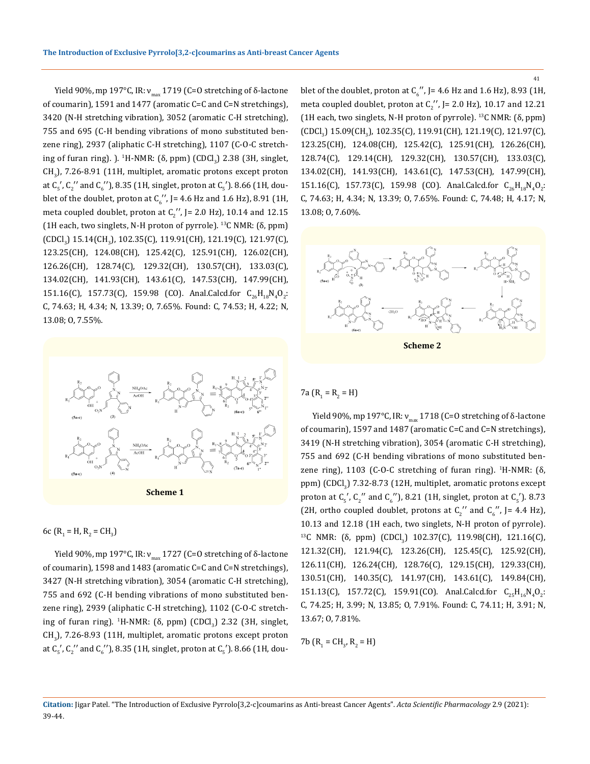Yield 90%, mp 197°C, IR:  $v_{max}$  1719 (C=O stretching of δ-lactone of coumarin), 1591 and 1477 (aromatic C=C and C=N stretchings), 3420 (N-H stretching vibration), 3052 (aromatic C-H stretching), 755 and 695 (C-H bending vibrations of mono substituted benzene ring), 2937 (aliphatic C-H stretching), 1107 (C-O-C stretching of furan ring).  $]$ . <sup>1</sup>H-NMR: (δ, ppm) (CDCl<sub>3</sub>) 2.38 (3H, singlet,  $CH_{3}$ ), 7.26-8.91 (11H, multiplet, aromatic protons except proton at  $C_5$  ,  $C_2$  and  $C_6$  ), 8.35 (1H, singlet, proton at  $C_5$  ). 8.66 (1H, doublet of the doublet, proton at  $C_6^{\prime\prime}$ , J= 4.6 Hz and 1.6 Hz), 8.91 (1H, meta coupled doublet, proton at  $C_2^{\prime\prime}$ , J= 2.0 Hz), 10.14 and 12.15 (1H each, two singlets, N-H proton of pyrrole).  $^{13}$ C NMR: ( $\delta$ , ppm)  $[CDCl<sub>3</sub>]$  15.14 $[CH<sub>3</sub>]$ , 102.35 $[C]$ , 119.91 $[CH]$ , 121.19 $[C]$ , 121.97 $[C]$ , 123.25(CH), 124.08(CH), 125.42(C), 125.91(CH), 126.02(CH), 126.26(CH), 128.74(C), 129.32(CH), 130.57(CH), 133.03(C), 134.02(CH), 141.93(CH), 143.61(C), 147.53(CH), 147.99(CH), 151.16(C), 157.73(C), 159.98 (CO). Anal.Calcd.for  $C_{26}H_{18}N_4O_2$ : C, 74.63; H, 4.34; N, 13.39; O, 7.65%. Found: C, 74.53; H, 4.22; N, 13.08; O, 7.55%.



6c ( $R_1 = H$ ,  $R_2 = CH_3$ )

Yield 90%, mp 197°C, IR:  $v_{\text{max}}$  1727 (C=O stretching of δ-lactone of coumarin), 1598 and 1483 (aromatic C=C and C=N stretchings), 3427 (N-H stretching vibration), 3054 (aromatic C-H stretching), 755 and 692 (C-H bending vibrations of mono substituted benzene ring), 2939 (aliphatic C-H stretching), 1102 (C-O-C stretching of furan ring). <sup>1</sup>H-NMR: ( $\delta$ , ppm) (CDCl<sub>3</sub>) 2.32 (3H, singlet,  $CH<sub>3</sub>$ ), 7.26-8.93 (11H, multiplet, aromatic protons except proton at  $C_5$  ,  $C_2$   $\degree$  and  $C_6$   $\degree$  ), 8.35 (1H, singlet, proton at  $C_5$  ). 8.66 (1H, dou-

blet of the doublet, proton at  $C_6^{\prime\prime}$ , J= 4.6 Hz and 1.6 Hz), 8.93 (1H, meta coupled doublet, proton at  $C_2^{\prime\prime}$ , J= 2.0 Hz), 10.17 and 12.21 (1H each, two singlets, N-H proton of pyrrole). <sup>13</sup>C NMR: (δ, ppm)  $\left(\text{CDCl}_3\right)$  15.09 $\left(\text{CH}_3\right)$ , 102.35 $\left(\text{C}\right)$ , 119.91 $\left(\text{CH}\right)$ , 121.19 $\left(\text{C}\right)$ , 121.97 $\left(\text{C}\right)$ , 123.25(CH), 124.08(CH), 125.42(C), 125.91(CH), 126.26(CH), 128.74(C), 129.14(CH), 129.32(CH), 130.57(CH), 133.03(C), 134.02(CH), 141.93(CH), 143.61(C), 147.53(CH), 147.99(CH), 151.16(C), 157.73(C), 159.98 (CO). Anal.Calcd.for  $C_{26}H_{18}N_4O_2$ : C, 74.63; H, 4.34; N, 13.39; O, 7.65%. Found: C, 74.48; H, 4.17; N, 13.08; O, 7.60%.



## $7a (R_1 = R_2 = H)$

Yield 90%, mp 197°C, IR:  $v_{\text{max}}$  1718 (C=O stretching of  $\delta$ -lactone of coumarin), 1597 and 1487 (aromatic C=C and C=N stretchings), 3419 (N-H stretching vibration), 3054 (aromatic C-H stretching), 755 and 692 (C-H bending vibrations of mono substituted benzene ring), 1103 (C-O-C stretching of furan ring).  $^1$ H-NMR: (δ, ppm) (CDCl<sub>3</sub>) 7.32-8.73 (12H, multiplet, aromatic protons except proton at  $C_5'$ ,  $C_2''$  and  $C_6''$ ), 8.21 (1H, singlet, proton at  $C_5'$ ). 8.73 (2H, ortho coupled doublet, protons at  $C_2^{\prime\prime}$  and  $C_6^{\prime\prime}$ , J= 4.4 Hz), 10.13 and 12.18 (1H each, two singlets, N-H proton of pyrrole). <sup>13</sup>C NMR: (δ, ppm) (CDCl<sub>3</sub>) 102.37(C), 119.98(CH), 121.16(C), 121.32(CH), 121.94(C), 123.26(CH), 125.45(C), 125.92(CH), 126.11(CH), 126.24(CH), 128.76(C), 129.15(CH), 129.33(CH), 130.51(CH), 140.35(C), 141.97(CH), 143.61(C), 149.84(CH), 151.13(C), 157.72(C), 159.91(CO). Anal.Calcd.for  $C_{25}H_{16}N_4O_2$ : C, 74.25; H, 3.99; N, 13.85; O, 7.91%. Found: C, 74.11; H, 3.91; N, 13.67; O, 7.81%.

$$
7b (R_1 = CH_3, R_2 = H)
$$

41

**Citation:** Jigar Patel*.* "The Introduction of Exclusive Pyrrolo[3,2-c]coumarins as Anti-breast Cancer Agents". *Acta Scientific Pharmacology* 2.9 (2021): 39-44.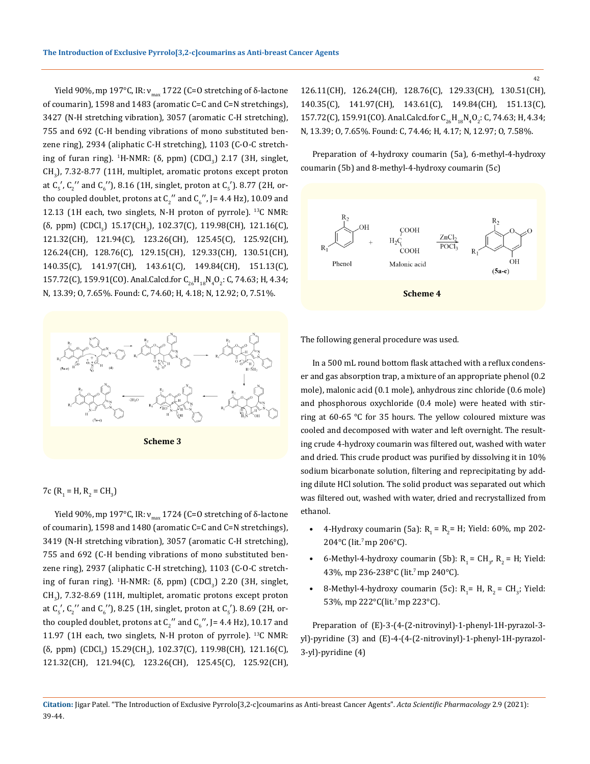Yield 90%, mp 197°C, IR:  $v_{max}$  1722 (C=O stretching of δ-lactone of coumarin), 1598 and 1483 (aromatic C=C and C=N stretchings), 3427 (N-H stretching vibration), 3057 (aromatic C-H stretching), 755 and 692 (C-H bending vibrations of mono substituted benzene ring), 2934 (aliphatic C-H stretching), 1103 (C-O-C stretching of furan ring). <sup>1</sup>H-NMR: (δ, ppm) (CDCl<sub>3</sub>) 2.17 (3H, singlet,  $CH_{3}$ ), 7.32-8.77 (11H, multiplet, aromatic protons except proton at  $C_5$ ',  $C_2$ '' and  $C_6$ ''), 8.16 (1H, singlet, proton at  $C_5$ '). 8.77 (2H, ortho coupled doublet, protons at  $C_2^{\prime\prime}$  and  $C_6^{\prime\prime}$ , J= 4.4 Hz), 10.09 and 12.13 (1H each, two singlets, N-H proton of pyrrole). 13C NMR: (δ, ppm) (CDCl<sub>3</sub>) 15.17(CH<sub>3</sub>), 102.37(C), 119.98(CH), 121.16(C), 121.32(CH), 121.94(C), 123.26(CH), 125.45(C), 125.92(CH), 126.24(CH), 128.76(C), 129.15(CH), 129.33(CH), 130.51(CH), 140.35(C), 141.97(CH), 143.61(C), 149.84(CH), 151.13(C),  $157.72(C)$ ,  $159.91(CO)$ . Anal.Calcd.for  $C_{26}H_{18}N_4O_2$ : C,  $74.63$ ; H,  $4.34$ ; N, 13.39; O, 7.65%. Found: C, 74.60; H, 4.18; N, 12.92; O, 7.51%.



## $7c$  (R<sub>1</sub> = H, R<sub>2</sub> = CH<sub>3</sub>)

Yield 90%, mp 197°C, IR:  $v_{\text{max}}$  1724 (C=O stretching of δ-lactone of coumarin), 1598 and 1480 (aromatic C=C and C=N stretchings), 3419 (N-H stretching vibration), 3057 (aromatic C-H stretching), 755 and 692 (C-H bending vibrations of mono substituted benzene ring), 2937 (aliphatic C-H stretching), 1103 (C-O-C stretching of furan ring). <sup>1</sup>H-NMR: ( $\delta$ , ppm) (CDCl<sub>3</sub>) 2.20 (3H, singlet,  $CH_{3}$ ), 7.32-8.69 (11H, multiplet, aromatic protons except proton at  $C_5$ ',  $C_2$ '' and  $C_6$ ''), 8.25 (1H, singlet, proton at  $C_5$ '). 8.69 (2H, ortho coupled doublet, protons at  $C_2^{\prime\prime}$  and  $C_6^{\prime\prime}$ , J= 4.4 Hz), 10.17 and 11.97 (1H each, two singlets, N-H proton of pyrrole). <sup>13</sup>C NMR: (δ, ppm) (CDCl<sub>3</sub>) 15.29(CH<sub>3</sub>), 102.37(C), 119.98(CH), 121.16(C), 121.32(CH), 121.94(C), 123.26(CH), 125.45(C), 125.92(CH),

126.11(CH), 126.24(CH), 128.76(C), 129.33(CH), 130.51(CH), 140.35(C), 141.97(CH), 143.61(C), 149.84(CH), 151.13(C),  $157.72(C)$ ,  $159.91(CO)$ . Anal.Calcd.for  $C_{26}H_{18}N_4O_2$ : C,  $74.63$ ; H, 4.34; N, 13.39; O, 7.65%. Found: C, 74.46; H, 4.17; N, 12.97; O, 7.58%.

Preparation of 4-hydroxy coumarin (5a), 6-methyl-4-hydroxy coumarin (5b) and 8-methyl-4-hydroxy coumarin (5c)



The following general procedure was used.

In a 500 mL round bottom flask attached with a reflux condenser and gas absorption trap, a mixture of an appropriate phenol (0.2 mole), malonic acid (0.1 mole), anhydrous zinc chloride (0.6 mole) and phosphorous oxychloride (0.4 mole) were heated with stirring at 60-65 °C for 35 hours. The yellow coloured mixture was cooled and decomposed with water and left overnight. The resulting crude 4-hydroxy coumarin was filtered out, washed with water and dried. This crude product was purified by dissolving it in 10% sodium bicarbonate solution, filtering and reprecipitating by adding dilute HCl solution. The solid product was separated out which was filtered out, washed with water, dried and recrystallized from ethanol.

- 4-Hydroxy coumarin (5a):  $R_1 = R_2 = H$ ; Yield: 60%, mp 202-204°C (lit.7 mp 206°C).
- 6-Methyl-4-hydroxy coumarin (5b):  $R_1 = CH_3$ ,  $R_2 = H$ ; Yield: 43%, mp 236-238°C (lit.7 mp 240°C).
- 8-Methyl-4-hydroxy coumarin (5c):  $R_1 = H$ ,  $R_2 = CH_3$ ; Yield: 53%, mp 222°C(lit.7 mp 223°C).

Preparation of (E)-3-(4-(2-nitrovinyl)-1-phenyl-1H-pyrazol-3 yl)-pyridine (3) and (E)-4-(4-(2-nitrovinyl)-1-phenyl-1H-pyrazol-3-yl)-pyridine (4)

42

**Citation:** Jigar Patel*.* "The Introduction of Exclusive Pyrrolo[3,2-c]coumarins as Anti-breast Cancer Agents". *Acta Scientific Pharmacology* 2.9 (2021): 39-44.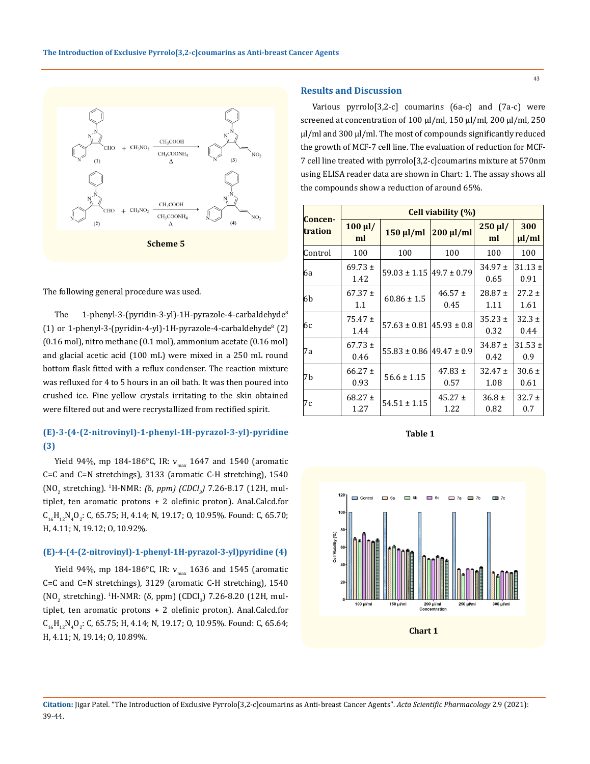

The following general procedure was used.

The 1-phenyl-3-(pyridin-3-yl)-1H-pyrazole-4-carbaldehyde<sup>8</sup>  $(1)$  or 1-phenyl-3-(pyridin-4-yl)-1H-pyrazole-4-carbaldehyde $(2)$ (0.16 mol), nitro methane (0.1 mol), ammonium acetate (0.16 mol) and glacial acetic acid (100 mL) were mixed in a 250 mL round bottom flask fitted with a reflux condenser. The reaction mixture was refluxed for 4 to 5 hours in an oil bath. It was then poured into crushed ice. Fine yellow crystals irritating to the skin obtained were filtered out and were recrystallized from rectified spirit.

## **(E)-3-(4-(2-nitrovinyl)-1-phenyl-1H-pyrazol-3-yl)-pyridine (3)**

Yield 94%, mp 184-186°C, IR:  $v_{\text{max}}$  1647 and 1540 (aromatic C=C and C=N stretchings), 3133 (aromatic C-H stretching), 1540 (NO<sub>2</sub> stretching). <sup>1</sup>H-NMR: (δ, ppm) (CDCl<sub>3</sub>) 7.26-8.17 (12H, multiplet, ten aromatic protons + 2 olefinic proton). Anal.Calcd.for  $C_{16}H_{12}N_4O_2$ : C, 65.75; H, 4.14; N, 19.17; O, 10.95%. Found: C, 65.70; H, 4.11; N, 19.12; O, 10.92%.

### **(E)-4-(4-(2-nitrovinyl)-1-phenyl-1H-pyrazol-3-yl)pyridine (4)**

Yield 94%, mp 184-186°C, IR:  $v_{\text{max}}$  1636 and 1545 (aromatic C=C and C=N stretchings), 3129 (aromatic C-H stretching), 1540 (NO<sub>2</sub> stretching). <sup>1</sup>H-NMR: ( $\delta$ , ppm) (CDCl<sub>3</sub>) 7.26-8.20 (12H, multiplet, ten aromatic protons + 2 olefinic proton). Anal.Calcd.for  $C_{16}H_{12}N_4O_2$ : C, 65.75; H, 4.14; N, 19.17; O, 10.95%. Found: C, 65.64; H, 4.11; N, 19.14; O, 10.89%.

### **Results and Discussion**

Various pyrrolo[3,2-c] coumarins (6a-c) and (7a-c) were screened at concentration of 100 µl/ml, 150 µl/ml, 200 µl/ml, 250 µl/ml and 300 µl/ml. The most of compounds significantly reduced the growth of MCF-7 cell line. The evaluation of reduction for MCF-7 cell line treated with pyrrolo[3,2-c]coumarins mixture at 570nm using ELISA reader data are shown in Chart: 1. The assay shows all the compounds show a reduction of around 65%.

| Concen-<br>tration | Cell viability (%)  |                                    |                     |                     |                     |
|--------------------|---------------------|------------------------------------|---------------------|---------------------|---------------------|
|                    | $100 \mu l$<br>ml   | $150 \mu$ l/ml $ 200 \mu$ l/ml     |                     | $250 \mu l$<br>ml   | 300<br>$\mu$ /ml    |
| Control            | 100                 | 100                                | 100                 | 100                 | 100                 |
| 6a                 | $69.73 \pm$<br>1.42 | $59.03 \pm 1.15$ 49.7 $\pm$ 0.79   |                     | $34.97 \pm$<br>0.65 | $31.13 \pm$<br>0.91 |
| 6b                 | $67.37 \pm$<br>1.1  | $60.86 \pm 1.5$                    | $46.57 \pm$<br>0.45 | $28.87 \pm$<br>1.11 | $27.2 \pm$<br>1.61  |
| 6с                 | $75.47 \pm$<br>1.44 | $57.63 \pm 0.81$   45.93 $\pm$ 0.8 |                     | $35.23 \pm$<br>0.32 | $32.3 \pm$<br>0.44  |
| 7а                 | $67.73 \pm$<br>0.46 | $55.83 \pm 0.86$ 49.47 $\pm 0.9$   |                     | $34.87 \pm$<br>0.42 | $31.53 \pm$<br>0.9  |
| 7b                 | $66.27 \pm$<br>0.93 | $56.6 \pm 1.15$                    | $47.83 \pm$<br>0.57 | $32.47 \pm$<br>1.08 | $30.6 \pm$<br>0.61  |
| 7с                 | $68.27 \pm$<br>1.27 | $54.51 \pm 1.15$                   | $45.27 \pm$<br>1.22 | $36.8 \pm$<br>0.82  | $32.7 \pm$<br>0.7   |